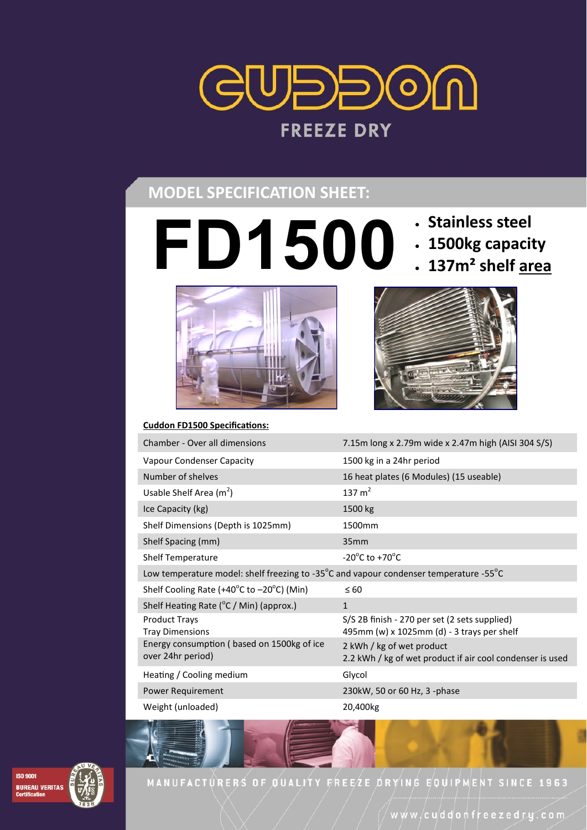

# **MODEL SPECIFICATION SHEET:**

- **FD1500 · Stainless steel**<br>1500 *i* **1500kg capaci** 
	-
	- **1500kg capacity**
	- **137m² shelf area**





| <b>Cuddon FD1500 Specifications:</b>                                                                        |                                                                                             |
|-------------------------------------------------------------------------------------------------------------|---------------------------------------------------------------------------------------------|
| Chamber - Over all dimensions                                                                               | 7.15m long x 2.79m wide x 2.47m high (AISI 304 S/S)                                         |
| Vapour Condenser Capacity                                                                                   | 1500 kg in a 24hr period                                                                    |
| Number of shelves                                                                                           | 16 heat plates (6 Modules) (15 useable)                                                     |
| Usable Shelf Area $(m^2)$                                                                                   | 137 $m2$                                                                                    |
| Ice Capacity (kg)                                                                                           | 1500 kg                                                                                     |
| Shelf Dimensions (Depth is 1025mm)                                                                          | 1500 <sub>mm</sub>                                                                          |
| Shelf Spacing (mm)                                                                                          | 35 <sub>mm</sub>                                                                            |
| <b>Shelf Temperature</b>                                                                                    | $-20^{\circ}$ C to $+70^{\circ}$ C                                                          |
| Low temperature model: shelf freezing to -35 $^{\circ}$ C and vapour condenser temperature -55 $^{\circ}$ C |                                                                                             |
| Shelf Cooling Rate (+40 $^{\circ}$ C to -20 $^{\circ}$ C) (Min)                                             | $\leq 60$                                                                                   |
| Shelf Heating Rate ( $\degree$ C / Min) (approx.)                                                           | $\mathbf{1}$                                                                                |
| <b>Product Trays</b><br><b>Tray Dimensions</b>                                                              | S/S 2B finish - 270 per set (2 sets supplied)<br>495mm (w) x 1025mm (d) - 3 trays per shelf |
| Energy consumption (based on 1500kg of ice<br>over 24hr period)                                             | 2 kWh / kg of wet product<br>2.2 kWh / kg of wet product if air cool condenser is used      |
| Heating / Cooling medium                                                                                    | Glycol                                                                                      |
|                                                                                                             |                                                                                             |

Power Requirement 230kW, 50 or 60 Hz, 3 -phase

Weight (unloaded) 20,400kg



MANUFACTURERS OF QUALITY FREEZE DRYING EQUIPMENT SINCE 1963